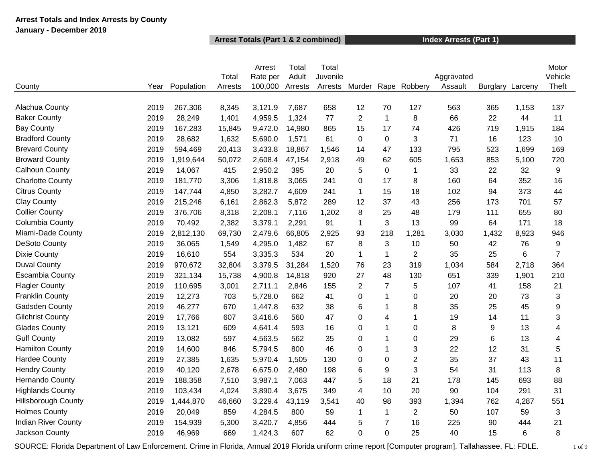### **Arrest Totals and Index Arrests by County January - December 2019**

### **Arrest Totals (Part 1 & 2 combined) Index Arrests (Part 1)**

|                            |      |            |         | Arrest   | Total   | Total    |                |                |                |            |          |         | Motor          |
|----------------------------|------|------------|---------|----------|---------|----------|----------------|----------------|----------------|------------|----------|---------|----------------|
|                            |      |            | Total   | Rate per | Adult   | Juvenile |                |                |                | Aggravated |          |         | Vehicle        |
| County                     | Year | Population | Arrests | 100,000  | Arrests | Arrests  | Murder         |                | Rape Robbery   | Assault    | Burglary | Larceny | Theft          |
|                            |      |            |         |          |         |          |                |                |                |            |          |         |                |
| Alachua County             | 2019 | 267,306    | 8,345   | 3,121.9  | 7,687   | 658      | 12             | 70             | 127            | 563        | 365      | 1,153   | 137            |
| <b>Baker County</b>        | 2019 | 28,249     | 1,401   | 4,959.5  | 1,324   | 77       | $\overline{2}$ | $\mathbf{1}$   | 8              | 66         | 22       | 44      | 11             |
| <b>Bay County</b>          | 2019 | 167,283    | 15,845  | 9,472.0  | 14,980  | 865      | 15             | 17             | 74             | 426        | 719      | 1,915   | 184            |
| <b>Bradford County</b>     | 2019 | 28,682     | 1,632   | 5,690.0  | 1,571   | 61       | $\mathbf 0$    | $\mathbf 0$    | 3              | 71         | 16       | 123     | 10             |
| <b>Brevard County</b>      | 2019 | 594,469    | 20,413  | 3,433.8  | 18,867  | 1,546    | 14             | 47             | 133            | 795        | 523      | 1,699   | 169            |
| <b>Broward County</b>      | 2019 | 1,919,644  | 50,072  | 2,608.4  | 47,154  | 2,918    | 49             | 62             | 605            | 1,653      | 853      | 5,100   | 720            |
| Calhoun County             | 2019 | 14,067     | 415     | 2,950.2  | 395     | 20       | 5              | $\pmb{0}$      | $\mathbf{1}$   | 33         | 22       | 32      | 9              |
| <b>Charlotte County</b>    | 2019 | 181,770    | 3,306   | 1,818.8  | 3,065   | 241      | 0              | 17             | 8              | 160        | 64       | 352     | 16             |
| <b>Citrus County</b>       | 2019 | 147,744    | 4,850   | 3,282.7  | 4,609   | 241      | $\mathbf{1}$   | 15             | 18             | 102        | 94       | 373     | 44             |
| <b>Clay County</b>         | 2019 | 215,246    | 6,161   | 2,862.3  | 5,872   | 289      | 12             | 37             | 43             | 256        | 173      | 701     | 57             |
| <b>Collier County</b>      | 2019 | 376,706    | 8,318   | 2,208.1  | 7,116   | 1,202    | 8              | 25             | 48             | 179        | 111      | 655     | 80             |
| Columbia County            | 2019 | 70,492     | 2,382   | 3,379.1  | 2,291   | 91       | $\mathbf{1}$   | 3              | 13             | 99         | 64       | 171     | 18             |
| Miami-Dade County          | 2019 | 2,812,130  | 69,730  | 2,479.6  | 66,805  | 2,925    | 93             | 218            | 1,281          | 3,030      | 1,432    | 8,923   | 946            |
| DeSoto County              | 2019 | 36,065     | 1,549   | 4,295.0  | 1,482   | 67       | 8              | 3              | 10             | 50         | 42       | 76      | 9              |
| <b>Dixie County</b>        | 2019 | 16,610     | 554     | 3,335.3  | 534     | 20       | $\mathbf{1}$   | $\mathbf{1}$   | $\overline{2}$ | 35         | 25       | 6       | $\overline{7}$ |
| <b>Duval County</b>        | 2019 | 970,672    | 32,804  | 3,379.5  | 31,284  | 1,520    | 76             | 23             | 319            | 1,034      | 584      | 2,718   | 364            |
| <b>Escambia County</b>     | 2019 | 321,134    | 15,738  | 4,900.8  | 14,818  | 920      | 27             | 48             | 130            | 651        | 339      | 1,901   | 210            |
| <b>Flagler County</b>      | 2019 | 110,695    | 3,001   | 2,711.1  | 2,846   | 155      | $\overline{c}$ | $\overline{7}$ | 5              | 107        | 41       | 158     | 21             |
| <b>Franklin County</b>     | 2019 | 12,273     | 703     | 5,728.0  | 662     | 41       | 0              | $\overline{1}$ | 0              | 20         | 20       | 73      | 3              |
| Gadsden County             | 2019 | 46,277     | 670     | 1,447.8  | 632     | 38       | 6              | $\mathbf 1$    | 8              | 35         | 25       | 45      | 9              |
| <b>Gilchrist County</b>    | 2019 | 17,766     | 607     | 3,416.6  | 560     | 47       | 0              | 4              | 1              | 19         | 14       | 11      | 3              |
| <b>Glades County</b>       | 2019 | 13,121     | 609     | 4,641.4  | 593     | 16       | 0              | $\mathbf{1}$   | 0              | 8          | 9        | 13      | 4              |
| <b>Gulf County</b>         | 2019 | 13,082     | 597     | 4,563.5  | 562     | 35       | 0              | $\mathbf{1}$   | $\Omega$       | 29         | 6        | 13      | 4              |
| <b>Hamilton County</b>     | 2019 | 14,600     | 846     | 5,794.5  | 800     | 46       | 0              | $\overline{1}$ | 3              | 22         | 12       | 31      | 5              |
| <b>Hardee County</b>       | 2019 | 27,385     | 1,635   | 5,970.4  | 1,505   | 130      | 0              | $\mathbf 0$    | $\overline{2}$ | 35         | 37       | 43      | 11             |
| <b>Hendry County</b>       | 2019 | 40,120     | 2,678   | 6,675.0  | 2,480   | 198      | 6              | 9              | 3              | 54         | 31       | 113     | 8              |
| Hernando County            | 2019 | 188,358    | 7,510   | 3,987.1  | 7,063   | 447      | 5              | 18             | 21             | 178        | 145      | 693     | 88             |
| <b>Highlands County</b>    | 2019 | 103,434    | 4,024   | 3,890.4  | 3,675   | 349      | $\overline{4}$ | 10             | 20             | 90         | 104      | 291     | 31             |
| <b>Hillsborough County</b> | 2019 | 1,444,870  | 46,660  | 3,229.4  | 43,119  | 3,541    | 40             | 98             | 393            | 1,394      | 762      | 4,287   | 551            |
| <b>Holmes County</b>       | 2019 | 20,049     | 859     | 4,284.5  | 800     | 59       | $\mathbf 1$    | $\mathbf 1$    | $\overline{2}$ | 50         | 107      | 59      | 3              |
| <b>Indian River County</b> | 2019 | 154,939    | 5,300   | 3,420.7  | 4,856   | 444      | 5              | $\overline{7}$ | 16             | 225        | 90       | 444     | 21             |
| Jackson County             | 2019 | 46,969     | 669     | 1,424.3  | 607     | 62       | $\overline{0}$ | $\mathbf 0$    | 25             | 40         | 15       | 6       | 8              |
|                            |      |            |         |          |         |          |                |                |                |            |          |         |                |

SOURCE: Florida Department of Law Enforcement. Crime in Florida, Annual 2019 Florida uniform crime report [Computer program]. Tallahassee, FL: FDLE. 1 of 9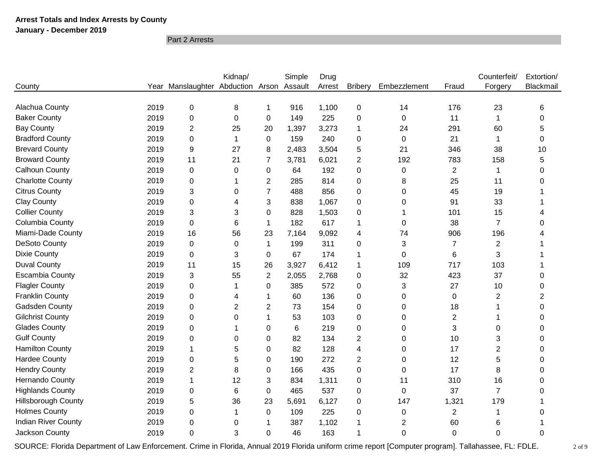**January - December 2019**

Part 2 Arrests

|                            |      |                              | Kidnap/ |                | Simple  | Drug   |                |              |                | Counterfeit/            | Extortion/     |
|----------------------------|------|------------------------------|---------|----------------|---------|--------|----------------|--------------|----------------|-------------------------|----------------|
| County                     | Year | Manslaughter Abduction Arson |         |                | Assault | Arrest | <b>Bribery</b> | Embezzlement | Fraud          | Forgery                 | Blackmail      |
|                            |      |                              |         |                |         |        |                |              |                |                         |                |
| Alachua County             | 2019 | $\mathbf 0$                  | 8       | 1              | 916     | 1,100  | $\mathbf 0$    | 14           | 176            | 23                      | 6              |
| <b>Baker County</b>        | 2019 | $\boldsymbol{0}$             | 0       | 0              | 149     | 225    | 0              | 0            | 11             |                         | 0              |
| <b>Bay County</b>          | 2019 | $\overline{2}$               | 25      | 20             | 1,397   | 3,273  | 1              | 24           | 291            | 60                      | 5              |
| <b>Bradford County</b>     | 2019 | $\boldsymbol{0}$             | 1       | $\mathsf 0$    | 159     | 240    | $\mathbf 0$    | 0            | 21             |                         | 0              |
| <b>Brevard County</b>      | 2019 | 9                            | 27      | 8              | 2,483   | 3,504  | 5              | 21           | 346            | 38                      | 10             |
| <b>Broward County</b>      | 2019 | 11                           | 21      | $\overline{7}$ | 3,781   | 6,021  | $\overline{2}$ | 192          | 783            | 158                     | 5              |
| <b>Calhoun County</b>      | 2019 | $\pmb{0}$                    | 0       | 0              | 64      | 192    | $\Omega$       | 0            | $\overline{2}$ | 1                       | 0              |
| <b>Charlotte County</b>    | 2019 | $\mathbf 0$                  | 1       | $\overline{2}$ | 285     | 814    | 0              | 8            | 25             | 11                      | 0              |
| <b>Citrus County</b>       | 2019 | 3                            | 0       | $\overline{7}$ | 488     | 856    | 0              | 0            | 45             | 19                      |                |
| <b>Clay County</b>         | 2019 | $\mathbf 0$                  | 4       | 3              | 838     | 1,067  | 0              | 0            | 91             | 33                      |                |
| <b>Collier County</b>      | 2019 | 3                            | 3       | 0              | 828     | 1,503  | $\mathbf 0$    | 1            | 101            | 15                      |                |
| Columbia County            | 2019 | $\pmb{0}$                    | 6       | 1              | 182     | 617    | 1              | 0            | 38             | $\overline{7}$          | 0              |
| Miami-Dade County          | 2019 | 16                           | 56      | 23             | 7,164   | 9,092  | 4              | 74           | 906            | 196                     |                |
| <b>DeSoto County</b>       | 2019 | $\pmb{0}$                    | 0       | 1              | 199     | 311    | $\Omega$       | 3            | $\overline{7}$ | $\overline{\mathbf{c}}$ |                |
| <b>Dixie County</b>        | 2019 | $\boldsymbol{0}$             | 3       | 0              | 67      | 174    | 1              | $\Omega$     | 6              | 3                       |                |
| <b>Duval County</b>        | 2019 | 11                           | 15      | 26             | 3,927   | 6,412  | 1              | 109          | 717            | 103                     |                |
| <b>Escambia County</b>     | 2019 | 3                            | 55      | $\overline{2}$ | 2,055   | 2,768  | 0              | 32           | 423            | 37                      | $\Omega$       |
| <b>Flagler County</b>      | 2019 | $\mathbf 0$                  | 1       | 0              | 385     | 572    | 0              | 3            | 27             | 10                      | 0              |
| <b>Franklin County</b>     | 2019 | $\boldsymbol{0}$             | 4       | 1              | 60      | 136    | 0              | 0            | $\pmb{0}$      | $\overline{2}$          | $\overline{2}$ |
| Gadsden County             | 2019 | $\mathbf 0$                  | 2       | $\overline{2}$ | 73      | 154    | 0              | 0            | 18             | 1                       | 0              |
| <b>Gilchrist County</b>    | 2019 | $\mathbf 0$                  | 0       | 1              | 53      | 103    | 0              | 0            | $\overline{2}$ |                         | 0              |
| <b>Glades County</b>       | 2019 | $\mathbf 0$                  |         | 0              | 6       | 219    | 0              | 0            | 3              | 0                       | 0              |
| <b>Gulf County</b>         | 2019 | $\mathbf 0$                  | 0       | 0              | 82      | 134    | 2              | $\Omega$     | 10             | 3                       | 0              |
| <b>Hamilton County</b>     | 2019 | 1                            | 5       | 0              | 82      | 128    | 4              | 0            | 17             | $\overline{2}$          | $\Omega$       |
| <b>Hardee County</b>       | 2019 | $\mathbf 0$                  | 5       | 0              | 190     | 272    | $\overline{2}$ | 0            | 12             | 5                       | 0              |
| <b>Hendry County</b>       | 2019 | $\overline{2}$               | 8       | 0              | 166     | 435    | $\mathbf 0$    | 0            | 17             | 8                       | 0              |
| Hernando County            | 2019 | 1                            | 12      | 3              | 834     | 1,311  | 0              | 11           | 310            | 16                      | 0              |
| <b>Highlands County</b>    | 2019 | $\boldsymbol{0}$             | 6       | 0              | 465     | 537    | $\Omega$       | 0            | 37             | $\overline{7}$          | 0              |
| <b>Hillsborough County</b> | 2019 | 5                            | 36      | 23             | 5,691   | 6,127  | 0              | 147          | 1,321          | 179                     |                |
| <b>Holmes County</b>       | 2019 | $\mathbf 0$                  | 1       | 0              | 109     | 225    | 0              | 0            | 2              | 1                       | $\Omega$       |
| <b>Indian River County</b> | 2019 | $\boldsymbol{0}$             | 0       | 1              | 387     | 1,102  |                | 2            | 60             | 6                       |                |
| Jackson County             | 2019 | 0                            | 3       | $\mathbf 0$    | 46      | 163    |                | 0            | $\Omega$       | 0                       | $\Omega$       |

SOURCE: Florida Department of Law Enforcement. Crime in Florida, Annual 2019 Florida uniform crime report [Computer program]. Tallahassee, FL: FDLE. 2 of 9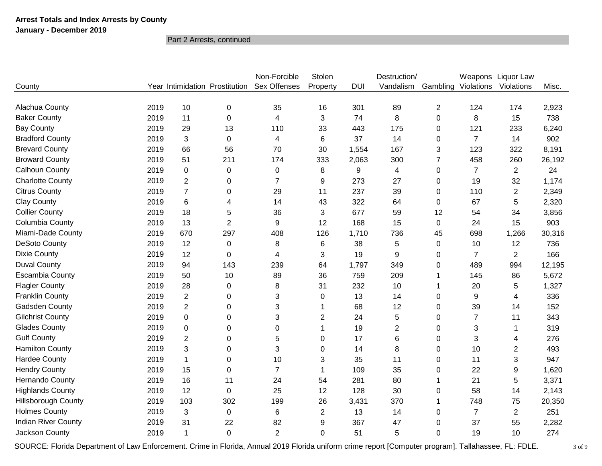### **January - December 2019**

Part 2 Arrests, continued

|                            |      |                  |                                | Non-Forcible     | Stolen         |            | Destruction/   |                |                | Weapons Liquor Law |        |
|----------------------------|------|------------------|--------------------------------|------------------|----------------|------------|----------------|----------------|----------------|--------------------|--------|
| County                     |      |                  | Year Intimidation Prostitution | Sex Offenses     | Property       | <b>DUI</b> | Vandalism      | Gambling       | Violations     | Violations         | Misc.  |
|                            |      |                  |                                |                  |                |            |                |                |                |                    |        |
| Alachua County             | 2019 | 10               | 0                              | 35               | 16             | 301        | 89             | $\overline{2}$ | 124            | 174                | 2,923  |
| <b>Baker County</b>        | 2019 | 11               | 0                              | 4                | 3              | 74         | 8              | 0              | 8              | 15                 | 738    |
| <b>Bay County</b>          | 2019 | 29               | 13                             | 110              | 33             | 443        | 175            | 0              | 121            | 233                | 6,240  |
| <b>Bradford County</b>     | 2019 | 3                | 0                              | 4                | 6              | 37         | 14             | 0              | $\overline{7}$ | 14                 | 902    |
| <b>Brevard County</b>      | 2019 | 66               | 56                             | 70               | 30             | 1,554      | 167            | 3              | 123            | 322                | 8,191  |
| <b>Broward County</b>      | 2019 | 51               | 211                            | 174              | 333            | 2,063      | 300            | $\overline{7}$ | 458            | 260                | 26,192 |
| <b>Calhoun County</b>      | 2019 | $\boldsymbol{0}$ | 0                              | 0                | 8              | 9          | 4              | 0              | $\overline{7}$ | $\overline{2}$     | 24     |
| <b>Charlotte County</b>    | 2019 | $\overline{2}$   | 0                              | $\overline{7}$   | 9              | 273        | 27             | 0              | 19             | 32                 | 1,174  |
| <b>Citrus County</b>       | 2019 | $\overline{7}$   | 0                              | 29               | 11             | 237        | 39             | $\Omega$       | 110            | $\overline{2}$     | 2,349  |
| <b>Clay County</b>         | 2019 | 6                | 4                              | 14               | 43             | 322        | 64             | 0              | 67             | 5                  | 2,320  |
| <b>Collier County</b>      | 2019 | 18               | 5                              | 36               | 3              | 677        | 59             | 12             | 54             | 34                 | 3,856  |
| Columbia County            | 2019 | 13               | $\overline{2}$                 | $\boldsymbol{9}$ | 12             | 168        | 15             | 0              | 24             | 15                 | 903    |
| Miami-Dade County          | 2019 | 670              | 297                            | 408              | 126            | 1,710      | 736            | 45             | 698            | 1,266              | 30,316 |
| <b>DeSoto County</b>       | 2019 | 12               | 0                              | 8                | 6              | 38         | 5              | 0              | 10             | 12                 | 736    |
| <b>Dixie County</b>        | 2019 | 12               | $\Omega$                       | 4                | 3              | 19         | 9              | $\Omega$       | $\overline{7}$ | $\overline{2}$     | 166    |
| <b>Duval County</b>        | 2019 | 94               | 143                            | 239              | 64             | 1,797      | 349            | 0              | 489            | 994                | 12,195 |
| <b>Escambia County</b>     | 2019 | 50               | 10                             | 89               | 36             | 759        | 209            |                | 145            | 86                 | 5,672  |
| <b>Flagler County</b>      | 2019 | 28               | 0                              | 8                | 31             | 232        | 10             | 1              | 20             | 5                  | 1,327  |
| <b>Franklin County</b>     | 2019 | $\mathbf{2}$     | 0                              | 3                | 0              | 13         | 14             | 0              | 9              | 4                  | 336    |
| Gadsden County             | 2019 | $\overline{2}$   | 0                              | 3                | 1              | 68         | 12             | 0              | 39             | 14                 | 152    |
| <b>Gilchrist County</b>    | 2019 | $\mathbf 0$      | 0                              | 3                | $\overline{2}$ | 24         | 5              | 0              | 7              | 11                 | 343    |
| <b>Glades County</b>       | 2019 | $\boldsymbol{0}$ | $\Omega$                       | 0                | $\mathbf 1$    | 19         | $\overline{2}$ | $\Omega$       | 3              | 1                  | 319    |
| <b>Gulf County</b>         | 2019 | $\overline{2}$   | 0                              | 5                | 0              | 17         | 6              | 0              | 3              | 4                  | 276    |
| <b>Hamilton County</b>     | 2019 | 3                | $\Omega$                       | 3                | $\mathbf 0$    | 14         | 8              | 0              | 10             | $\overline{c}$     | 493    |
| <b>Hardee County</b>       | 2019 | $\mathbf 1$      | 0                              | 10               | 3              | 35         | 11             | 0              | 11             | 3                  | 947    |
| <b>Hendry County</b>       | 2019 | 15               | 0                              | $\overline{7}$   | 1              | 109        | 35             | 0              | 22             | 9                  | 1,620  |
| Hernando County            | 2019 | 16               | 11                             | 24               | 54             | 281        | 80             | 1              | 21             | 5                  | 3,371  |
| <b>Highlands County</b>    | 2019 | 12               | 0                              | 25               | 12             | 128        | 30             | 0              | 58             | 14                 | 2,143  |
| <b>Hillsborough County</b> | 2019 | 103              | 302                            | 199              | 26             | 3,431      | 370            | 1              | 748            | 75                 | 20,350 |
| <b>Holmes County</b>       | 2019 | 3                | 0                              | 6                | $\overline{2}$ | 13         | 14             | 0              | $\overline{7}$ | $\overline{c}$     | 251    |
| <b>Indian River County</b> | 2019 | 31               | 22                             | 82               | 9              | 367        | 47             | 0              | 37             | 55                 | 2,282  |
| Jackson County             | 2019 | $\mathbf 1$      | $\Omega$                       | $\overline{2}$   | 0              | 51         | 5              | $\Omega$       | 19             | 10                 | 274    |

SOURCE: Florida Department of Law Enforcement. Crime in Florida, Annual 2019 Florida uniform crime report [Computer program]. Tallahassee, FL: FDLE. 3 of 9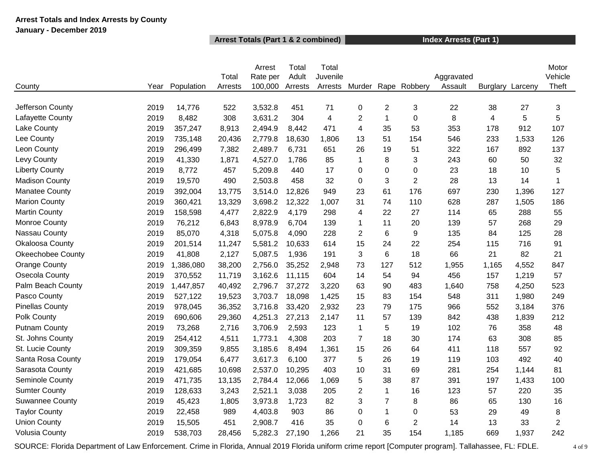### **Arrest Totals and Index Arrests by County January - December 2019**

### **Arrest Totals (Part 1 & 2 combined) Index Arrests (Part 1)**

|                          |      |            |         | Arrest   | Total   | Total                   |                |                |                  |            |                 |         | Motor          |
|--------------------------|------|------------|---------|----------|---------|-------------------------|----------------|----------------|------------------|------------|-----------------|---------|----------------|
|                          |      |            | Total   | Rate per | Adult   | Juvenile                |                |                |                  | Aggravated |                 |         | Vehicle        |
| County                   | Year | Population | Arrests | 100,000  | Arrests | Arrests                 | Murder         |                | Rape Robbery     | Assault    | <b>Burglary</b> | Larceny | Theft          |
| Jefferson County         | 2019 | 14,776     | 522     | 3,532.8  | 451     | 71                      | 0              | $\overline{c}$ | 3                | 22         | 38              | 27      | $\sqrt{3}$     |
| Lafayette County         | 2019 | 8,482      | 308     | 3,631.2  | 304     | $\overline{\mathbf{4}}$ | $\overline{2}$ | $\mathbf{1}$   | $\mathbf 0$      | 8          | 4               | 5       | 5              |
| Lake County              | 2019 | 357,247    | 8,913   | 2,494.9  | 8,442   | 471                     | 4              | 35             | 53               | 353        | 178             | 912     | 107            |
| Lee County               | 2019 | 735,148    | 20,436  | 2,779.8  | 18,630  | 1,806                   | 13             | 51             | 154              | 546        | 233             | 1,533   | 126            |
| Leon County              | 2019 | 296,499    | 7,382   | 2,489.7  | 6,731   | 651                     | 26             | 19             | 51               | 322        | 167             | 892     | 137            |
| Levy County              | 2019 | 41,330     | 1,871   | 4,527.0  | 1,786   | 85                      | $\mathbf{1}$   | 8              | 3                | 243        | 60              | 50      | 32             |
| <b>Liberty County</b>    | 2019 | 8,772      | 457     | 5,209.8  | 440     | 17                      | 0              | 0              | 0                | 23         | 18              | 10      | 5              |
| <b>Madison County</b>    | 2019 | 19,570     | 490     | 2,503.8  | 458     | 32                      | 0              | 3              | $\overline{2}$   | 28         | 13              | 14      | 1              |
| <b>Manatee County</b>    | 2019 | 392,004    | 13,775  | 3,514.0  | 12,826  | 949                     | 23             | 61             | 176              | 697        | 230             | 1,396   | 127            |
| <b>Marion County</b>     | 2019 | 360,421    | 13,329  | 3,698.2  | 12,322  | 1,007                   | 31             | 74             | 110              | 628        | 287             | 1,505   | 186            |
| <b>Martin County</b>     | 2019 | 158,598    | 4,477   | 2,822.9  | 4,179   | 298                     | 4              | 22             | 27               | 114        | 65              | 288     | 55             |
| Monroe County            | 2019 | 76,212     | 6,843   | 8,978.9  | 6,704   | 139                     | $\mathbf{1}$   | 11             | 20               | 139        | 57              | 268     | 29             |
| Nassau County            | 2019 | 85,070     | 4,318   | 5,075.8  | 4,090   | 228                     | $\overline{2}$ | 6              | $\boldsymbol{9}$ | 135        | 84              | 125     | 28             |
| <b>Okaloosa County</b>   | 2019 | 201,514    | 11,247  | 5,581.2  | 10,633  | 614                     | 15             | 24             | 22               | 254        | 115             | 716     | 91             |
| <b>Okeechobee County</b> | 2019 | 41,808     | 2,127   | 5,087.5  | 1,936   | 191                     | 3              | 6              | 18               | 66         | 21              | 82      | 21             |
| <b>Orange County</b>     | 2019 | 1,386,080  | 38,200  | 2,756.0  | 35,252  | 2,948                   | 73             | 127            | 512              | 1,955      | 1,165           | 4,552   | 847            |
| Osecola County           | 2019 | 370,552    | 11,719  | 3,162.6  | 11,115  | 604                     | 14             | 54             | 94               | 456        | 157             | 1,219   | 57             |
| Palm Beach County        | 2019 | 1,447,857  | 40,492  | 2,796.7  | 37,272  | 3,220                   | 63             | 90             | 483              | 1,640      | 758             | 4,250   | 523            |
| Pasco County             | 2019 | 527,122    | 19,523  | 3,703.7  | 18,098  | 1,425                   | 15             | 83             | 154              | 548        | 311             | 1,980   | 249            |
| <b>Pinellas County</b>   | 2019 | 978,045    | 36,352  | 3,716.8  | 33,420  | 2,932                   | 23             | 79             | 175              | 966        | 552             | 3,184   | 376            |
| Polk County              | 2019 | 690,606    | 29,360  | 4,251.3  | 27,213  | 2,147                   | 11             | 57             | 139              | 842        | 438             | 1,839   | 212            |
| <b>Putnam County</b>     | 2019 | 73,268     | 2,716   | 3,706.9  | 2,593   | 123                     | $\mathbf{1}$   | 5              | 19               | 102        | 76              | 358     | 48             |
| St. Johns County         | 2019 | 254,412    | 4,511   | 1,773.1  | 4,308   | 203                     | $\overline{7}$ | 18             | 30               | 174        | 63              | 308     | 85             |
| St. Lucie County         | 2019 | 309,359    | 9,855   | 3,185.6  | 8,494   | 1,361                   | 15             | 26             | 64               | 411        | 118             | 557     | 92             |
| Santa Rosa County        | 2019 | 179,054    | 6,477   | 3,617.3  | 6,100   | 377                     | 5              | 26             | 19               | 119        | 103             | 492     | 40             |
| Sarasota County          | 2019 | 421,685    | 10,698  | 2,537.0  | 10,295  | 403                     | 10             | 31             | 69               | 281        | 254             | 1,144   | 81             |
| Seminole County          | 2019 | 471,735    | 13,135  | 2,784.4  | 12,066  | 1,069                   | 5              | 38             | 87               | 391        | 197             | 1,433   | 100            |
| <b>Sumter County</b>     | 2019 | 128,633    | 3,243   | 2,521.1  | 3,038   | 205                     | $\overline{2}$ | $\mathbf{1}$   | 16               | 123        | 57              | 220     | 35             |
| <b>Suwannee County</b>   | 2019 | 45,423     | 1,805   | 3,973.8  | 1,723   | 82                      | 3              | $\overline{7}$ | 8                | 86         | 65              | 130     | 16             |
| <b>Taylor County</b>     | 2019 | 22,458     | 989     | 4,403.8  | 903     | 86                      | 0              | 1              | $\mathbf 0$      | 53         | 29              | 49      | 8              |
| <b>Union County</b>      | 2019 | 15,505     | 451     | 2,908.7  | 416     | 35                      | 0              | 6              | $\overline{2}$   | 14         | 13              | 33      | $\overline{2}$ |
| <b>Volusia County</b>    | 2019 | 538,703    | 28,456  | 5,282.3  | 27,190  | 1,266                   | 21             | 35             | 154              | 1,185      | 669             | 1,937   | 242            |

SOURCE: Florida Department of Law Enforcement. Crime in Florida, Annual 2019 Florida uniform crime report [Computer program]. Tallahassee, FL: FDLE. 4 of 9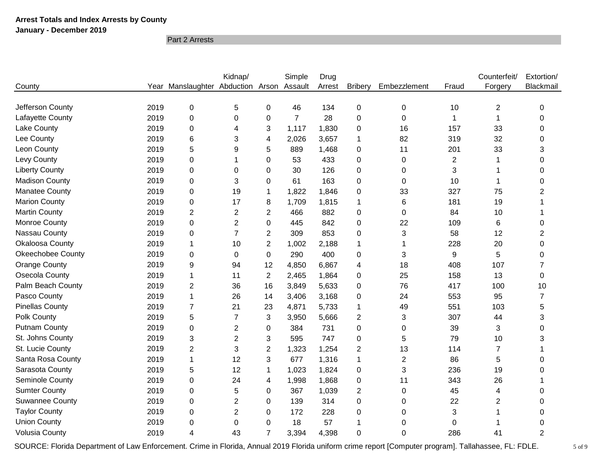**January - December 2019**

Part 2 Arrests

|                          |      |                                           | Kidnap/        |                | Simple         | Drug   |                |                |       | Counterfeit/   | Extortion/              |
|--------------------------|------|-------------------------------------------|----------------|----------------|----------------|--------|----------------|----------------|-------|----------------|-------------------------|
| County                   |      | Year Manslaughter Abduction Arson Assault |                |                |                | Arrest | <b>Bribery</b> | Embezzlement   | Fraud | Forgery        | Blackmail               |
|                          |      |                                           |                |                |                |        |                |                |       |                |                         |
| Jefferson County         | 2019 | $\pmb{0}$                                 | 5              | $\Omega$       | 46             | 134    | 0              | 0              | 10    | $\overline{2}$ | 0                       |
| Lafayette County         | 2019 | $\pmb{0}$                                 | 0              | 0              | $\overline{7}$ | 28     | 0              | 0              | 1     | 1              | 0                       |
| Lake County              | 2019 | 0                                         | 4              | 3              | 1,117          | 1,830  | 0              | 16             | 157   | 33             | 0                       |
| Lee County               | 2019 | 6                                         | 3              | 4              | 2,026          | 3,657  | 1              | 82             | 319   | 32             | $\boldsymbol{0}$        |
| Leon County              | 2019 | 5                                         | 9              | 5              | 889            | 1,468  | 0              | 11             | 201   | 33             | 3                       |
| Levy County              | 2019 | $\pmb{0}$                                 |                | $\mathbf 0$    | 53             | 433    | 0              | 0              | 2     |                | 0                       |
| <b>Liberty County</b>    | 2019 | $\pmb{0}$                                 | 0              | 0              | 30             | 126    | 0              | 0              | 3     | 1              | 0                       |
| <b>Madison County</b>    | 2019 | 0                                         | 3              | 0              | 61             | 163    | 0              | 0              | 10    | 1              | 0                       |
| <b>Manatee County</b>    | 2019 | $\mathsf 0$                               | 19             | 1              | 1,822          | 1,846  | 0              | 33             | 327   | 75             | $\overline{c}$          |
| <b>Marion County</b>     | 2019 | $\pmb{0}$                                 | 17             | 8              | 1,709          | 1,815  | 1              | 6              | 181   | 19             |                         |
| <b>Martin County</b>     | 2019 | $\mathbf{2}$                              | $\overline{c}$ | $\mathbf{2}$   | 466            | 882    | 0              | 0              | 84    | 10             |                         |
| Monroe County            | 2019 | $\mathsf 0$                               | 2              | $\mathbf 0$    | 445            | 842    | 0              | 22             | 109   | 6              | 0                       |
| Nassau County            | 2019 | $\pmb{0}$                                 | $\overline{7}$ | $\mathbf{2}$   | 309            | 853    | $\Omega$       | 3              | 58    | 12             | $\overline{\mathbf{c}}$ |
| Okaloosa County          | 2019 | 1                                         | 10             | $\overline{2}$ | 1,002          | 2,188  | 1              | $\mathbf 1$    | 228   | 20             | $\mathbf 0$             |
| <b>Okeechobee County</b> | 2019 | 0                                         | 0              | 0              | 290            | 400    | $\Omega$       | 3              | 9     | 5              | 0                       |
| <b>Orange County</b>     | 2019 | 9                                         | 94             | 12             | 4,850          | 6,867  | 4              | 18             | 408   | 107            | 7                       |
| Osecola County           | 2019 | $\mathbf 1$                               | 11             | $\overline{2}$ | 2,465          | 1,864  | 0              | 25             | 158   | 13             | 0                       |
| Palm Beach County        | 2019 | $\mathbf{2}$                              | 36             | 16             | 3,849          | 5,633  | $\Omega$       | 76             | 417   | 100            | 10                      |
| Pasco County             | 2019 | $\mathbf{1}$                              | 26             | 14             | 3,406          | 3,168  | 0              | 24             | 553   | 95             | $\overline{7}$          |
| <b>Pinellas County</b>   | 2019 | $\overline{7}$                            | 21             | 23             | 4,871          | 5,733  | 1              | 49             | 551   | 103            | 5                       |
| Polk County              | 2019 | 5                                         | $\overline{7}$ | 3              | 3,950          | 5,666  | $\overline{2}$ | 3              | 307   | 44             | 3                       |
| <b>Putnam County</b>     | 2019 | 0                                         | $\overline{2}$ | 0              | 384            | 731    | 0              | 0              | 39    | 3              | 0                       |
| St. Johns County         | 2019 | 3                                         | $\overline{2}$ | 3              | 595            | 747    | 0              | 5              | 79    | 10             | 3                       |
| St. Lucie County         | 2019 | $\overline{c}$                            | 3              | $\overline{2}$ | 1,323          | 1,254  | $\overline{c}$ | 13             | 114   | 7              |                         |
| Santa Rosa County        | 2019 | 1                                         | 12             | 3              | 677            | 1,316  | 1              | $\overline{2}$ | 86    | 5              | 0                       |
| Sarasota County          | 2019 | 5                                         | 12             | $\mathbf 1$    | 1,023          | 1,824  | 0              | 3              | 236   | 19             | 0                       |
| Seminole County          | 2019 | $\mathsf 0$                               | 24             | 4              | 1,998          | 1,868  | 0              | 11             | 343   | 26             |                         |
| <b>Sumter County</b>     | 2019 | $\mathbf 0$                               | 5              | $\mathbf 0$    | 367            | 1,039  | $\overline{2}$ | 0              | 45    | 4              | 0                       |
| <b>Suwannee County</b>   | 2019 | 0                                         | 2              | 0              | 139            | 314    | 0              | 0              | 22    | $\overline{2}$ | 0                       |
| <b>Taylor County</b>     | 2019 | 0                                         | 2              | 0              | 172            | 228    | 0              | 0              | 3     |                | 0                       |
| <b>Union County</b>      | 2019 | 0                                         | 0              | 0              | 18             | 57     | 1              | 0              | 0     |                | 0                       |
| <b>Volusia County</b>    | 2019 | 4                                         | 43             | $\overline{7}$ | 3,394          | 4,398  | 0              | 0              | 286   | 41             | $\overline{2}$          |

SOURCE: Florida Department of Law Enforcement. Crime in Florida, Annual 2019 Florida uniform crime report [Computer program]. Tallahassee, FL: FDLE. 5 of 9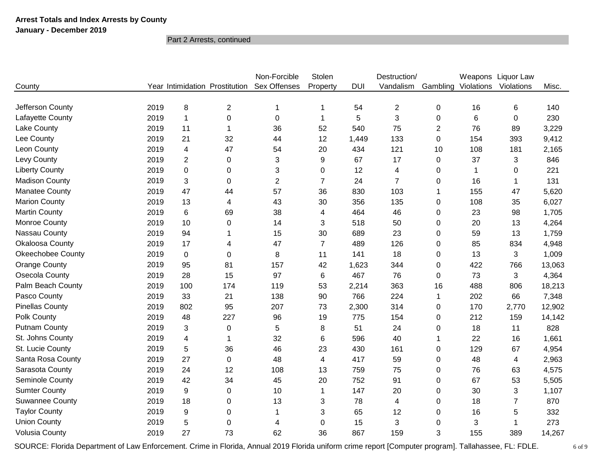### **January - December 2019**

Part 2 Arrests, continued

|                          |      |                |                                | Non-Forcible   | Stolen         |            | Destruction/   |                |            | Weapons Liquor Law |        |
|--------------------------|------|----------------|--------------------------------|----------------|----------------|------------|----------------|----------------|------------|--------------------|--------|
| County                   |      |                | Year Intimidation Prostitution | Sex Offenses   | Property       | <b>DUI</b> | Vandalism      | Gambling       | Violations | Violations         | Misc.  |
|                          |      |                |                                |                |                |            |                |                |            |                    |        |
| Jefferson County         | 2019 | 8              | $\overline{2}$                 | $\mathbf{1}$   | 1              | 54         | $\overline{2}$ | 0              | 16         | 6                  | 140    |
| Lafayette County         | 2019 | 1              | 0                              | 0              | 1              | 5          | 3              | 0              | 6          | 0                  | 230    |
| Lake County              | 2019 | 11             |                                | 36             | 52             | 540        | 75             | $\overline{2}$ | 76         | 89                 | 3,229  |
| Lee County               | 2019 | 21             | 32                             | 44             | 12             | 1,449      | 133            | $\Omega$       | 154        | 393                | 9,412  |
| Leon County              | 2019 | 4              | 47                             | 54             | 20             | 434        | 121            | 10             | 108        | 181                | 2,165  |
| Levy County              | 2019 | $\overline{2}$ | 0                              | 3              | 9              | 67         | 17             | 0              | 37         | 3                  | 846    |
| <b>Liberty County</b>    | 2019 | 0              | 0                              | 3              | 0              | 12         | 4              | 0              | 1          | 0                  | 221    |
| <b>Madison County</b>    | 2019 | 3              | $\Omega$                       | $\overline{2}$ | $\overline{7}$ | 24         | $\overline{7}$ | 0              | 16         | 1                  | 131    |
| <b>Manatee County</b>    | 2019 | 47             | 44                             | 57             | 36             | 830        | 103            | 1              | 155        | 47                 | 5,620  |
| <b>Marion County</b>     | 2019 | 13             | 4                              | 43             | 30             | 356        | 135            | 0              | 108        | 35                 | 6,027  |
| <b>Martin County</b>     | 2019 | 6              | 69                             | 38             | 4              | 464        | 46             | 0              | 23         | 98                 | 1,705  |
| Monroe County            | 2019 | 10             | 0                              | 14             | 3              | 518        | 50             | 0              | 20         | 13                 | 4,264  |
| Nassau County            | 2019 | 94             |                                | 15             | 30             | 689        | 23             | $\Omega$       | 59         | 13                 | 1,759  |
| Okaloosa County          | 2019 | 17             | 4                              | 47             | $\overline{7}$ | 489        | 126            | 0              | 85         | 834                | 4,948  |
| <b>Okeechobee County</b> | 2019 | 0              | $\Omega$                       | 8              | 11             | 141        | 18             | $\Omega$       | 13         | 3                  | 1,009  |
| Orange County            | 2019 | 95             | 81                             | 157            | 42             | 1,623      | 344            | 0              | 422        | 766                | 13,063 |
| Osecola County           | 2019 | 28             | 15                             | 97             | $\,6$          | 467        | 76             | $\Omega$       | 73         | 3                  | 4,364  |
| Palm Beach County        | 2019 | 100            | 174                            | 119            | 53             | 2,214      | 363            | 16             | 488        | 806                | 18,213 |
| Pasco County             | 2019 | 33             | 21                             | 138            | 90             | 766        | 224            | 1              | 202        | 66                 | 7,348  |
| <b>Pinellas County</b>   | 2019 | 802            | 95                             | 207            | 73             | 2,300      | 314            | 0              | 170        | 2,770              | 12,902 |
| Polk County              | 2019 | 48             | 227                            | 96             | 19             | 775        | 154            | 0              | 212        | 159                | 14,142 |
| <b>Putnam County</b>     | 2019 | 3              | $\pmb{0}$                      | 5              | 8              | 51         | 24             | 0              | 18         | 11                 | 828    |
| St. Johns County         | 2019 | 4              | 1                              | 32             | 6              | 596        | 40             | 1              | 22         | 16                 | 1,661  |
| St. Lucie County         | 2019 | 5              | 36                             | 46             | 23             | 430        | 161            | $\Omega$       | 129        | 67                 | 4,954  |
| Santa Rosa County        | 2019 | 27             | 0                              | 48             | 4              | 417        | 59             | 0              | 48         | 4                  | 2,963  |
| Sarasota County          | 2019 | 24             | 12                             | 108            | 13             | 759        | 75             | 0              | 76         | 63                 | 4,575  |
| Seminole County          | 2019 | 42             | 34                             | 45             | 20             | 752        | 91             | 0              | 67         | 53                 | 5,505  |
| <b>Sumter County</b>     | 2019 | 9              | 0                              | 10             | 1              | 147        | 20             | $\Omega$       | 30         | 3                  | 1,107  |
| <b>Suwannee County</b>   | 2019 | 18             | 0                              | 13             | 3              | 78         | 4              | 0              | 18         | $\overline{7}$     | 870    |
| <b>Taylor County</b>     | 2019 | 9              | 0                              | $\mathbf{1}$   | 3              | 65         | 12             | 0              | 16         | 5                  | 332    |
| <b>Union County</b>      | 2019 | 5              | $\mathbf 0$                    | 4              | $\mathbf 0$    | 15         | 3              | 0              | 3          | 1                  | 273    |
| <b>Volusia County</b>    | 2019 | 27             | 73                             | 62             | 36             | 867        | 159            | 3              | 155        | 389                | 14,267 |

SOURCE: Florida Department of Law Enforcement. Crime in Florida, Annual 2019 Florida uniform crime report [Computer program]. Tallahassee, FL: FDLE. 6 of 9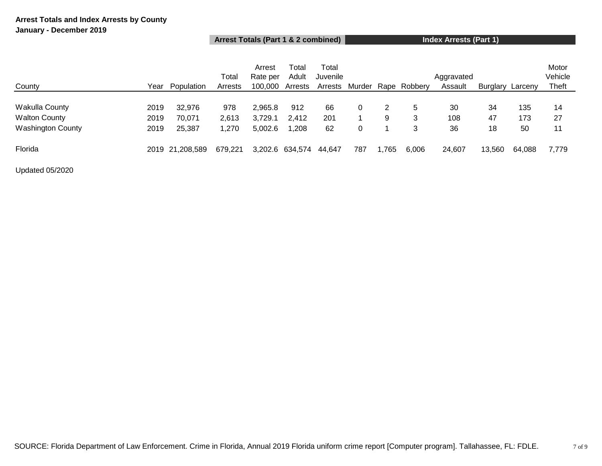### **Arrest Totals (Part 1 & 2 combined) Index Arrests (Part 1)**

|                          |      |                 | Total   | Arrest<br>Rate per | Total<br>Adult  | Total<br>Juvenile |        |      |              | Aggravated |          |         | Motor<br>Vehicle |
|--------------------------|------|-----------------|---------|--------------------|-----------------|-------------------|--------|------|--------------|------------|----------|---------|------------------|
| County                   | Year | Population      | Arrests | 100,000            | Arrests         | Arrests           | Murder |      | Rape Robbery | Assault    | Burglary | Larceny | <b>Theft</b>     |
| <b>Wakulla County</b>    | 2019 | 32,976          | 978     | 2,965.8            | 912             | 66                |        |      | 5            | -30        | 34       | 135     | 14               |
| <b>Walton County</b>     | 2019 | 70,071          | 2,613   | 3,729.1            | 2,412           | 201               |        | 9    | 3            | 108        | 47       | 173     | 27               |
| <b>Washington County</b> | 2019 | 25,387          | 1.270   | 5,002.6            | 1,208           | 62                |        |      | 3            | 36         | 18       | 50      | 11               |
| Florida                  |      | 2019 21.208.589 | 679,221 |                    | 3,202.6 634,574 | 44.647            | 787    | ,765 | 6,006        | 24,607     | 13,560   | 64,088  | 7,779            |

Updated 05/2020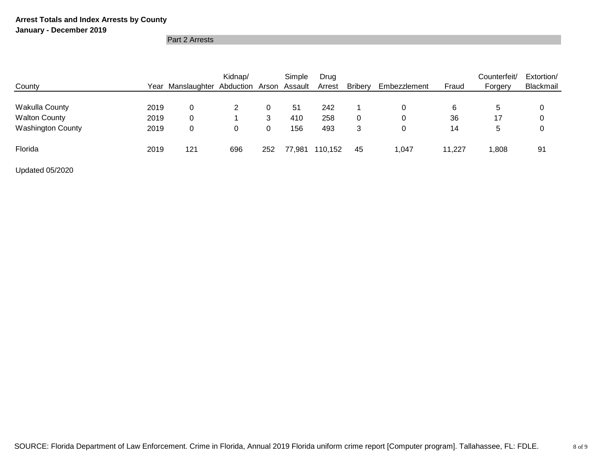### **January - December 2019**

Part 2 Arrests

| County                   |      | Year Manslaughter Abduction Arson Assault | Kidnap/ |     | Simple | Drug<br>Arrest | <b>Bribery</b> | Embezzlement | Fraud  | Counterfeit/<br>Forgery | Extortion/<br>Blackmail |
|--------------------------|------|-------------------------------------------|---------|-----|--------|----------------|----------------|--------------|--------|-------------------------|-------------------------|
|                          |      |                                           |         |     |        |                |                |              |        |                         |                         |
| <b>Wakulla County</b>    | 2019 | 0                                         |         |     | 51     | 242            |                |              | 6      | 5                       | 0                       |
| <b>Walton County</b>     | 2019 | 0                                         |         | 3   | 410    | 258            |                | 0            | 36     | 17                      | 0                       |
| <b>Washington County</b> | 2019 | 0                                         | 0       |     | 156    | 493            | 3              | 0            | 14     | 5                       | 0                       |
| Florida                  | 2019 | 121                                       | 696     | 252 | 77,981 | 110,152        | 45             | 1,047        | 11.227 | 1,808                   | 91                      |

Updated 05/2020